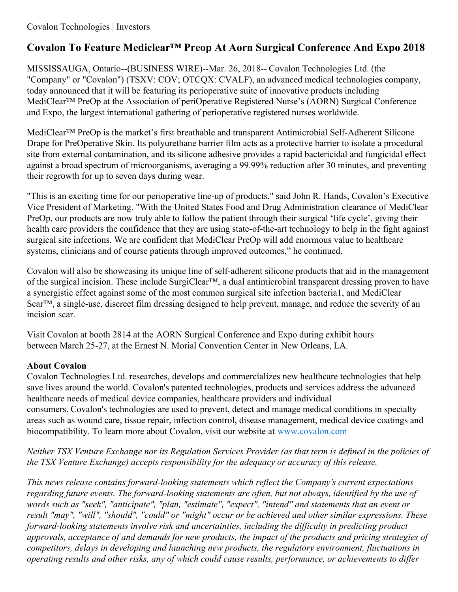## **Covalon To Feature Mediclear™ Preop At Aorn Surgical Conference And Expo 2018**

MISSISSAUGA, Ontario--(BUSINESS WIRE)--Mar. 26, 2018-- Covalon Technologies Ltd. (the "Company" or "Covalon") (TSXV: COV; OTCQX: CVALF), an advanced medical technologies company, today announced that it will be featuring its perioperative suite of innovative products including MediClear™ PreOp at the Association of periOperative Registered Nurse's (AORN) Surgical Conference and Expo, the largest international gathering of perioperative registered nurses worldwide.

MediClear™ PreOp is the market's first breathable and transparent Antimicrobial Self-Adherent Silicone Drape for PreOperative Skin. Its polyurethane barrier film acts as a protective barrier to isolate a procedural site from external contamination, and its silicone adhesive provides a rapid bactericidal and fungicidal effect against a broad spectrum of microorganisms, averaging a 99.99% reduction after 30 minutes, and preventing their regrowth for up to seven days during wear.

"This is an exciting time for our perioperative line-up of products," said John R. Hands, Covalon's Executive Vice President of Marketing. "With the United States Food and Drug Administration clearance of MediClear PreOp, our products are now truly able to follow the patient through their surgical 'life cycle', giving their health care providers the confidence that they are using state-of-the-art technology to help in the fight against surgical site infections. We are confident that MediClear PreOp will add enormous value to healthcare systems, clinicians and of course patients through improved outcomes," he continued.

Covalon will also be showcasing its unique line of self-adherent silicone products that aid in the management of the surgical incision. These include SurgiClear™, a dual antimicrobial transparent dressing proven to have a synergistic effect against some of the most common surgical site infection bacteria1, and MediClear Scar™, a single-use, discreet film dressing designed to help prevent, manage, and reduce the severity of an incision scar.

Visit Covalon at booth 2814 at the AORN Surgical Conference and Expo during exhibit hours between March 25-27, at the Ernest N. Morial Convention Center in New Orleans, LA.

## **About Covalon**

Covalon Technologies Ltd. researches, develops and commercializes new healthcare technologies that help save lives around the world. Covalon's patented technologies, products and services address the advanced healthcare needs of medical device companies, healthcare providers and individual consumers. Covalon's technologies are used to prevent, detect and manage medical conditions in specialty areas such as wound care, tissue repair, infection control, disease management, medical device coatings and biocompatibility. To learn more about Covalon, visit our website at [www.covalon.com](http://cts.businesswire.com/ct/CT?id=smartlink&url=http%3A%2F%2Fwww.covalon.com&esheet=51778812&newsitemid=20180326005628&lan=en-US&anchor=www.covalon.com&index=1&md5=e7b7fd8ae65b35d9136555c2f96d289c)

Neither TSX Venture Exchange nor its Regulation Services Provider (as that term is defined in the policies of *the TSX Venture Exchange) accepts responsibility for the adequacy or accuracy of this release.*

*This news release contains forward-looking statements which reflect the Company's current expectations regarding future events. The forward-looking statements are often, but not always, identified by the use of words such as "seek", "anticipate", "plan, "estimate", "expect", "intend" and statements that an event or result "may", "will", "should", "could" or "might" occur or be achieved and other similar expressions. These forward-looking statements involve risk and uncertainties, including the dif iculty in predicting product* approvals, acceptance of and demands for new products, the impact of the products and pricing strategies of *competitors, delays in developing and launching new products, the regulatory environment, fluctuations in* operating results and other risks, any of which could cause results, performance, or achievements to differ